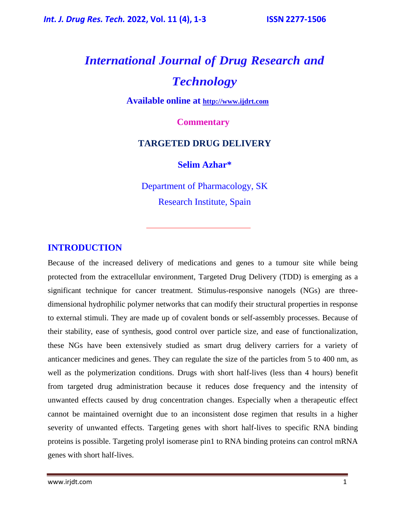# *International Journal of Drug Research and Technology*

**Available online at [http://www.ijdrt.com](http://www.ijdrt.com/)**

 **Commentary**

# **TARGETED DRUG DELIVERY**

#### **Selim Azhar\***

Department of Pharmacology, SK Research Institute, Spain

#### **INTRODUCTION**

Because of the increased delivery of medications and genes to a tumour site while being protected from the extracellular environment, Targeted Drug Delivery (TDD) is emerging as a significant technique for cancer treatment. Stimulus-responsive nanogels (NGs) are threedimensional hydrophilic polymer networks that can modify their structural properties in response to external stimuli. They are made up of covalent bonds or self-assembly processes. Because of their stability, ease of synthesis, good control over particle size, and ease of functionalization, these NGs have been extensively studied as smart drug delivery carriers for a variety of anticancer medicines and genes. They can regulate the size of the particles from 5 to 400 nm, as well as the polymerization conditions. Drugs with short half-lives (less than 4 hours) benefit from targeted drug administration because it reduces dose frequency and the intensity of unwanted effects caused by drug concentration changes. Especially when a therapeutic effect cannot be maintained overnight due to an inconsistent dose regimen that results in a higher severity of unwanted effects. Targeting genes with short half-lives to specific RNA binding proteins is possible. Targeting prolyl isomerase pin1 to RNA binding proteins can control mRNA genes with short half-lives.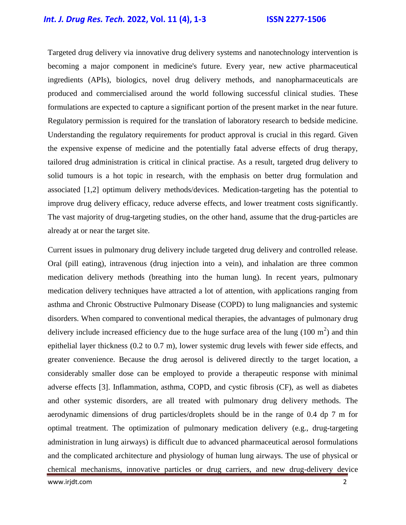## *Int. J. Drug Res. Tech.* **2022, Vol. 11 (4), 1-3 ISSN 2277-1506**

Targeted drug delivery via innovative drug delivery systems and nanotechnology intervention is becoming a major component in medicine's future. Every year, new active pharmaceutical ingredients (APIs), biologics, novel drug delivery methods, and nanopharmaceuticals are produced and commercialised around the world following successful clinical studies. These formulations are expected to capture a significant portion of the present market in the near future. Regulatory permission is required for the translation of laboratory research to bedside medicine. Understanding the regulatory requirements for product approval is crucial in this regard. Given the expensive expense of medicine and the potentially fatal adverse effects of drug therapy, tailored drug administration is critical in clinical practise. As a result, targeted drug delivery to solid tumours is a hot topic in research, with the emphasis on better drug formulation and associated [1,2] optimum delivery methods/devices. Medication-targeting has the potential to improve drug delivery efficacy, reduce adverse effects, and lower treatment costs significantly. The vast majority of drug-targeting studies, on the other hand, assume that the drug-particles are already at or near the target site.

Current issues in pulmonary drug delivery include targeted drug delivery and controlled release. Oral (pill eating), intravenous (drug injection into a vein), and inhalation are three common medication delivery methods (breathing into the human lung). In recent years, pulmonary medication delivery techniques have attracted a lot of attention, with applications ranging from asthma and Chronic Obstructive Pulmonary Disease (COPD) to lung malignancies and systemic disorders. When compared to conventional medical therapies, the advantages of pulmonary drug delivery include increased efficiency due to the huge surface area of the lung  $(100 \text{ m}^2)$  and thin epithelial layer thickness (0.2 to 0.7 m), lower systemic drug levels with fewer side effects, and greater convenience. Because the drug aerosol is delivered directly to the target location, a considerably smaller dose can be employed to provide a therapeutic response with minimal adverse effects [3]. Inflammation, asthma, COPD, and cystic fibrosis (CF), as well as diabetes and other systemic disorders, are all treated with pulmonary drug delivery methods. The aerodynamic dimensions of drug particles/droplets should be in the range of 0.4 dp 7 m for optimal treatment. The optimization of pulmonary medication delivery (e.g., drug-targeting administration in lung airways) is difficult due to advanced pharmaceutical aerosol formulations and the complicated architecture and physiology of human lung airways. The use of physical or chemical mechanisms, innovative particles or drug carriers, and new drug-delivery device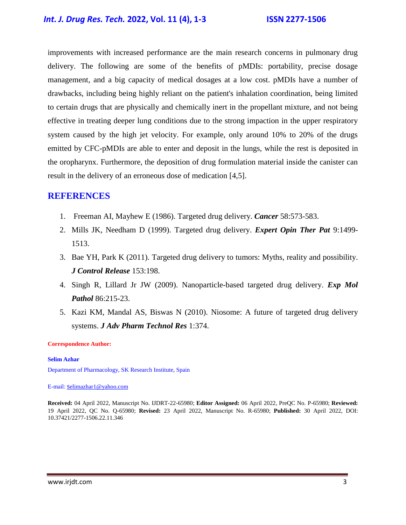## *Int. J. Drug Res. Tech.* **2022, Vol. 11 (4), 1-3 ISSN 2277-1506**

improvements with increased performance are the main research concerns in pulmonary drug delivery. The following are some of the benefits of pMDIs: portability, precise dosage management, and a big capacity of medical dosages at a low cost. pMDIs have a number of drawbacks, including being highly reliant on the patient's inhalation coordination, being limited to certain drugs that are physically and chemically inert in the propellant mixture, and not being effective in treating deeper lung conditions due to the strong impaction in the upper respiratory system caused by the high jet velocity. For example, only around 10% to 20% of the drugs emitted by CFC-pMDIs are able to enter and deposit in the lungs, while the rest is deposited in the oropharynx. Furthermore, the deposition of drug formulation material inside the canister can result in the delivery of an erroneous dose of medication [4,5].

#### **REFERENCES**

- 1. Freeman AI, Mayhew E (1986). [Targeted drug delivery.](https://acsjournals.onlinelibrary.wiley.com/doi/abs/10.1002/1097-0142(19860715)58:2+%3C573::AID-CNCR2820581328%3E3.0.CO;2-C) *Cancer* 58:573-583.
- 2. Mills JK, Needham D (1999). [Targeted drug delivery.](https://www.tandfonline.com/doi/abs/10.1517/13543776.9.11.1499) *Expert Opin Ther Pat* 9:1499- 1513.
- 3. Bae YH, Park K (2011). [Targeted drug delivery to tumors: Myths, reality and possibility.](https://www.ncbi.nlm.nih.gov/pmc/articles/PMC3272876/) *J Control Release* 153:198.
- 4. Singh R, Lillard Jr JW (2009). [Nanoparticle-based targeted drug delivery.](https://www.sciencedirect.com/science/article/abs/pii/S001448000800141X) *Exp Mol Pathol* 86:215-23.
- 5. Kazi KM, Mandal AS, Biswas N (2010). [Niosome: A future of targeted drug delivery](https://www.ncbi.nlm.nih.gov/pmc/articles/PMC3255404/)  [systems.](https://www.ncbi.nlm.nih.gov/pmc/articles/PMC3255404/) *J Adv Pharm Technol Res* 1:374.

#### **Correspondence Author:**

#### **Selim Azhar**

Department of Pharmacology, SK Research Institute, Spain

#### E-mail: s[elimazhar1@yahoo.com](mailto:selimazhar1@yahoo.com)

**Received:** 04 April 2022, Manuscript No. IJDRT-22-65980; **Editor Assigned:** 06 April 2022, PreQC No. P-65980; **Reviewed:**  19 April 2022, QC No. Q-65980; **Revised:** 23 April 2022, Manuscript No. R-65980; **Published:** 30 April 2022, DOI: 10.37421/2277-1506.22.11.346